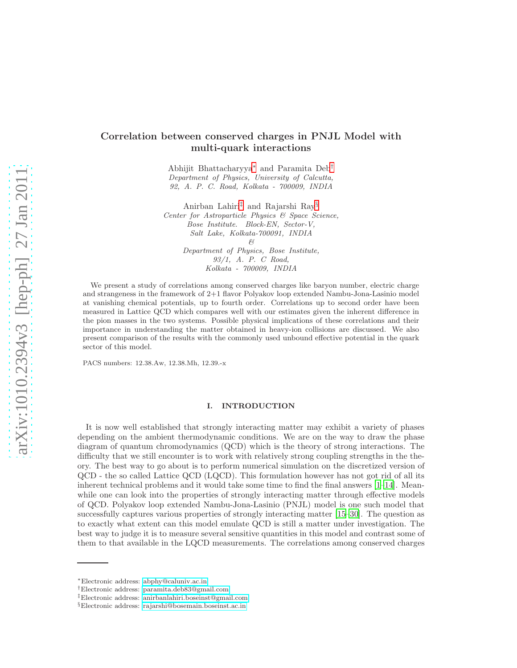# Correlation between conserved charges in PNJL Model with multi-quark interactions

Abhijit Bhattacharyya[∗](#page-0-0) and Paramita Deb[†](#page-0-1) Department of Physics, University of Calcutta, 92, A. P. C. Road, Kolkata - 700009, INDIA

Anirban Lahiri[‡](#page-0-2) and Rajarshi Ray[§](#page-0-3) Center for Astroparticle Physics & Space Science, Bose Institute. Block-EN, Sector-V, Salt Lake, Kolkata-700091, INDIA & Department of Physics, Bose Institute, 93/1, A. P. C Road, Kolkata - 700009, INDIA

We present a study of correlations among conserved charges like baryon number, electric charge and strangeness in the framework of 2+1 flavor Polyakov loop extended Nambu-Jona-Lasinio model at vanishing chemical potentials, up to fourth order. Correlations up to second order have been measured in Lattice QCD which compares well with our estimates given the inherent difference in the pion masses in the two systems. Possible physical implications of these correlations and their importance in understanding the matter obtained in heavy-ion collisions are discussed. We also present comparison of the results with the commonly used unbound effective potential in the quark sector of this model.

PACS numbers: 12.38.Aw, 12.38.Mh, 12.39.-x

# I. INTRODUCTION

It is now well established that strongly interacting matter may exhibit a variety of phases depending on the ambient thermodynamic conditions. We are on the way to draw the phase diagram of quantum chromodynamics (QCD) which is the theory of strong interactions. The difficulty that we still encounter is to work with relatively strong coupling strengths in the theory. The best way to go about is to perform numerical simulation on the discretized version of QCD - the so called Lattice QCD (LQCD). This formulation however has not got rid of all its inherent technical problems and it would take some time to find the final answers  $[1-14]$ . Meanwhile one can look into the properties of strongly interacting matter through effective models of QCD. Polyakov loop extended Nambu-Jona-Lasinio (PNJL) model is one such model that successfully captures various properties of strongly interacting matter [\[15](#page-11-2)[–30\]](#page-12-0). The question as to exactly what extent can this model emulate QCD is still a matter under investigation. The best way to judge it is to measure several sensitive quantities in this model and contrast some of them to that available in the LQCD measurements. The correlations among conserved charges

<span id="page-0-0"></span><sup>∗</sup>Electronic address: [abphy@caluniv.ac.in](mailto:abphy@caluniv.ac.in)

<span id="page-0-1"></span><sup>†</sup>Electronic address: [paramita.deb83@gmail.com](mailto:paramita.deb83@gmail.com)

<span id="page-0-2"></span><sup>‡</sup>Electronic address: [anirbanlahiri.boseinst@gmail.com](mailto:anirbanlahiri.boseinst@gmail.com)

<span id="page-0-3"></span><sup>§</sup>Electronic address: [rajarshi@bosemain.boseinst.ac.in](mailto:rajarshi@bosemain.boseinst.ac.in)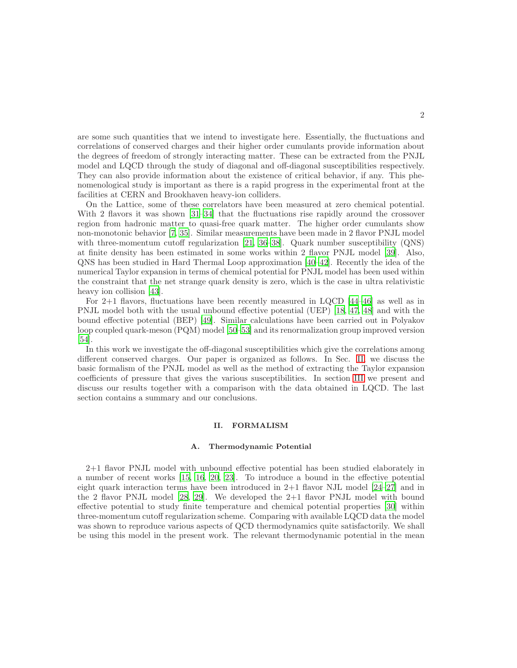are some such quantities that we intend to investigate here. Essentially, the fluctuations and correlations of conserved charges and their higher order cumulants provide information about the degrees of freedom of strongly interacting matter. These can be extracted from the PNJL model and LQCD through the study of diagonal and off-diagonal susceptibilities respectively. They can also provide information about the existence of critical behavior, if any. This phenomenological study is important as there is a rapid progress in the experimental front at the facilities at CERN and Brookhaven heavy-ion colliders.

On the Lattice, some of these correlators have been measured at zero chemical potential. With 2 flavors it was shown [\[31](#page-12-1)[–34\]](#page-12-2) that the fluctuations rise rapidly around the crossover region from hadronic matter to quasi-free quark matter. The higher order cumulants show non-monotonic behavior [\[7](#page-11-3), [35\]](#page-12-3). Similar measurements have been made in 2 flavor PNJL model with three-momentum cutoff regularization [\[21,](#page-11-4) [36](#page-12-4)[–38\]](#page-12-5). Quark number susceptibility (QNS) at finite density has been estimated in some works within 2 flavor PNJL model [\[39\]](#page-12-6). Also, QNS has been studied in Hard Thermal Loop approximation [\[40](#page-12-7)[–42\]](#page-12-8). Recently the idea of the numerical Taylor expansion in terms of chemical potential for PNJL model has been used within the constraint that the net strange quark density is zero, which is the case in ultra relativistic heavy ion collision [\[43\]](#page-12-9).

For 2+1 flavors, fluctuations have been recently measured in LQCD [\[44](#page-12-10)[–46\]](#page-12-11) as well as in PNJL model both with the usual unbound effective potential (UEP) [\[18](#page-11-5), [47](#page-12-12), [48\]](#page-12-13) and with the bound effective potential (BEP) [\[49\]](#page-12-14). Similar calculations have been carried out in Polyakov loop coupled quark-meson (PQM) model [\[50](#page-12-15)[–53\]](#page-12-16) and its renormalization group improved version [\[54\]](#page-12-17).

In this work we investigate the off-diagonal susceptibilities which give the correlations among different conserved charges. Our paper is organized as follows. In Sec. [II,](#page-1-0) we discuss the basic formalism of the PNJL model as well as the method of extracting the Taylor expansion coefficients of pressure that gives the various susceptibilities. In section [III](#page-4-0) we present and discuss our results together with a comparison with the data obtained in LQCD. The last section contains a summary and our conclusions.

# <span id="page-1-0"></span>II. FORMALISM

### A. Thermodynamic Potential

2+1 flavor PNJL model with unbound effective potential has been studied elaborately in a number of recent works [\[15,](#page-11-2) [16,](#page-11-6) [20](#page-11-7), [23\]](#page-11-8). To introduce a bound in the effective potential eight quark interaction terms have been introduced in  $2+1$  flavor NJL model  $[24-27]$  and in the 2 flavor PNJL model [\[28,](#page-12-20) [29](#page-12-21)]. We developed the 2+1 flavor PNJL model with bound effective potential to study finite temperature and chemical potential properties [\[30\]](#page-12-0) within three-momentum cutoff regularization scheme. Comparing with available LQCD data the model was shown to reproduce various aspects of QCD thermodynamics quite satisfactorily. We shall be using this model in the present work. The relevant thermodynamic potential in the mean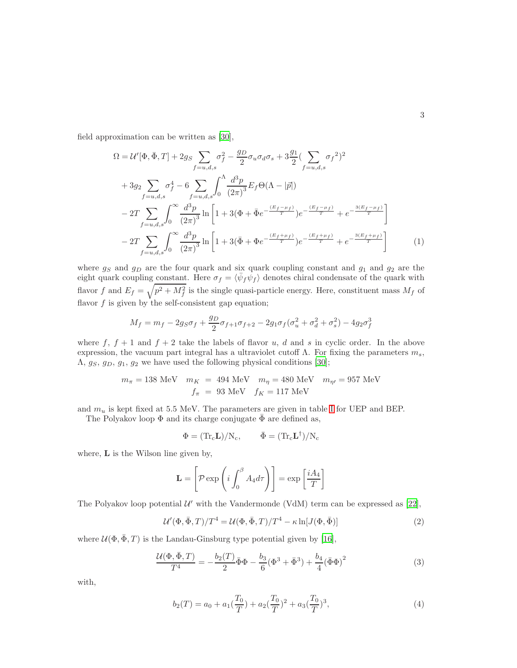field approximation can be written as [\[30\]](#page-12-0),

$$
\Omega = \mathcal{U}'[\Phi, \bar{\Phi}, T] + 2g_S \sum_{f=u,d,s} \sigma_f^2 - \frac{g_D}{2} \sigma_u \sigma_d \sigma_s + 3 \frac{g_1}{2} (\sum_{f=u,d,s} \sigma_f^2)^2 \n+ 3g_2 \sum_{f=u,d,s} \sigma_f^4 - 6 \sum_{f=u,d,s} \int_0^{\Lambda} \frac{d^3 p}{(2\pi)^3} E_f \Theta(\Lambda - |\vec{p}|) \n- 2T \sum_{f=u,d,s} \int_0^{\infty} \frac{d^3 p}{(2\pi)^3} \ln \left[ 1 + 3(\Phi + \bar{\Phi}e^{-\frac{(E_f - \mu_f)}{T}}) e^{-\frac{(E_f - \mu_f)}{T}} + e^{-\frac{3(E_f - \mu_f)}{T}} \right] \n- 2T \sum_{f=u,d,s} \int_0^{\infty} \frac{d^3 p}{(2\pi)^3} \ln \left[ 1 + 3(\bar{\Phi} + \Phi e^{-\frac{(E_f + \mu_f)}{T}}) e^{-\frac{(E_f + \mu_f)}{T}} + e^{-\frac{3(E_f + \mu_f)}{T}} \right]
$$
\n(1)

where  $g_S$  and  $g_D$  are the four quark and six quark coupling constant and  $g_1$  and  $g_2$  are the eight quark coupling constant. Here  $\sigma_f = \langle \bar{\psi}_f \psi_f \rangle$  denotes chiral condensate of the quark with flavor f and  $E_f = \sqrt{p^2 + M_f^2}$  is the single quasi-particle energy. Here, constituent mass  $M_f$  of flavor  $f$  is given by the self-consistent gap equation;

$$
M_f = m_f - 2g_S \sigma_f + \frac{g_D}{2} \sigma_{f+1} \sigma_{f+2} - 2g_1 \sigma_f (\sigma_u^2 + \sigma_d^2 + \sigma_s^2) - 4g_2 \sigma_f^3
$$

where f,  $f + 1$  and  $f + 2$  take the labels of flavor u, d and s in cyclic order. In the above expression, the vacuum part integral has a ultraviolet cutoff  $\Lambda$ . For fixing the parameters  $m_s$ ,  $\Lambda$ ,  $g_S$ ,  $g_D$ ,  $g_1$ ,  $g_2$  we have used the following physical conditions [\[30\]](#page-12-0);

$$
m_{\pi}=138~\mathrm{MeV} \quad m_K~=~494~\mathrm{MeV} \quad m_{\eta}=480~\mathrm{MeV} \quad m_{\eta\prime}=957~\mathrm{MeV}
$$
 
$$
f_{\pi}~=~93~\mathrm{MeV} \quad f_K=117~\mathrm{MeV}
$$

and  $m_u$  is kept fixed at 5.5 MeV. The parameters are given in table [I](#page-3-0) for UEP and BEP.

The Polyakov loop  $\Phi$  and its charge conjugate  $\bar{\Phi}$  are defined as,

$$
\Phi = (\text{Tr}_{\text{c}}\mathbf{L})/\text{N}_{\text{c}}, \qquad \bar{\Phi} = (\text{Tr}_{\text{c}}\mathbf{L}^{\dagger})/\text{N}_{\text{c}}
$$

where, L is the Wilson line given by,

$$
\mathbf{L} = \left[ \mathcal{P} \exp \left( i \int_0^\beta A_4 d\tau \right) \right] = \exp \left[ \frac{i A_4}{T} \right]
$$

The Polyakov loop potential  $U'$  with the Vandermonde (VdM) term can be expressed as [\[22\]](#page-11-9),

<span id="page-2-0"></span>
$$
\mathcal{U}'(\Phi, \bar{\Phi}, T)/T^4 = \mathcal{U}(\Phi, \bar{\Phi}, T)/T^4 - \kappa \ln[J(\Phi, \bar{\Phi})]
$$
\n(2)

where  $\mathcal{U}(\Phi, \bar{\Phi}, T)$  is the Landau-Ginsburg type potential given by [\[16](#page-11-6)],

<span id="page-2-1"></span>
$$
\frac{\mathcal{U}(\Phi, \bar{\Phi}, T)}{T^4} = -\frac{b_2(T)}{2} \bar{\Phi}\Phi - \frac{b_3}{6} (\Phi^3 + \bar{\Phi}^3) + \frac{b_4}{4} (\bar{\Phi}\Phi)^2 \tag{3}
$$

with,

<span id="page-2-2"></span>
$$
b_2(T) = a_0 + a_1(\frac{T_0}{T}) + a_2(\frac{T_0}{T})^2 + a_3(\frac{T_0}{T})^3,
$$
\n<sup>(4)</sup>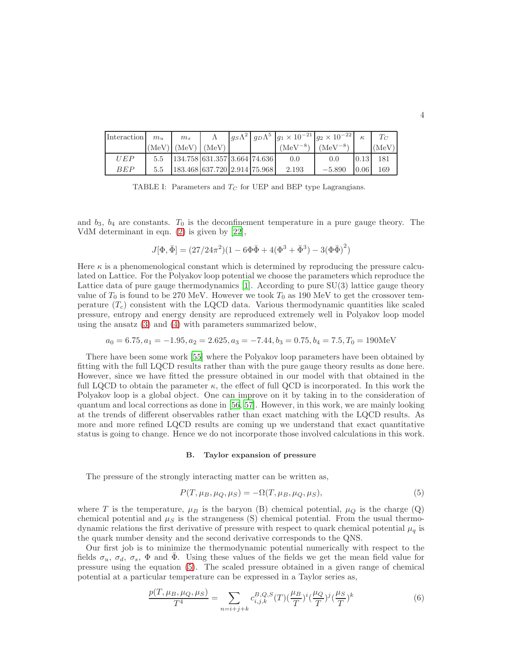| Interaction | $m_{\rm u}$ | m <sub>s</sub>                                                |       |  | $ g_S\Lambda^2  g_D\Lambda^5  g_1 \times 10^{-21}  g_2 \times 10^{-22} $ |              |      |       |
|-------------|-------------|---------------------------------------------------------------|-------|--|--------------------------------------------------------------------------|--------------|------|-------|
|             |             | $(MeV)$   (MeV)                                               | (MeV) |  | $(NeV^{-8})$                                                             | $(MeV^{-8})$ |      | (MeV) |
| <i>UEP</i>  | 5.5         | $\left  \frac{134.758}{631.357} \right  \frac{3.664}{74.636}$ |       |  | 0.0                                                                      | 0.0          |      | 181   |
| BEP         | 5.5         | $183.468$ 637.720 2.914 75.968                                |       |  | 2.193                                                                    | $-5.890$     | 0.06 | 169   |

<span id="page-3-0"></span>TABLE I: Parameters and  $T_C$  for UEP and BEP type Lagrangians.

and  $b_3$ ,  $b_4$  are constants.  $T_0$  is the deconfinement temperature in a pure gauge theory. The VdM determinant in eqn. [\(2\)](#page-2-0) is given by [\[22](#page-11-9)],

$$
J[\Phi, \bar{\Phi}] = (27/24\pi^2)(1 - 6\Phi\bar{\Phi} + 4(\Phi^3 + \bar{\Phi}^3) - 3(\Phi\bar{\Phi})^2)
$$

Here  $\kappa$  is a phenomenological constant which is determined by reproducing the pressure calculated on Lattice. For the Polyakov loop potential we choose the parameters which reproduce the Lattice data of pure gauge thermodynamics [\[1](#page-11-0)]. According to pure SU(3) lattice gauge theory value of  $T_0$  is found to be 270 MeV. However we took  $T_0$  as 190 MeV to get the crossover temperature  $(T_c)$  consistent with the LQCD data. Various thermodynamic quantities like scaled pressure, entropy and energy density are reproduced extremely well in Polyakov loop model using the ansatz [\(3\)](#page-2-1) and [\(4\)](#page-2-2) with parameters summarized below,

$$
a_0 = 6.75, a_1 = -1.95, a_2 = 2.625, a_3 = -7.44, b_3 = 0.75, b_4 = 7.5, T_0 = 190 \text{MeV}
$$

There have been some work [\[55](#page-12-22)] where the Polyakov loop parameters have been obtained by fitting with the full LQCD results rather than with the pure gauge theory results as done here. However, since we have fitted the pressure obtained in our model with that obtained in the full LQCD to obtain the parameter  $\kappa$ , the effect of full QCD is incorporated. In this work the Polyakov loop is a global object. One can improve on it by taking in to the consideration of quantum and local corrections as done in [\[56](#page-12-23), [57\]](#page-12-24). However, in this work, we are mainly looking at the trends of different observables rather than exact matching with the LQCD results. As more and more refined LQCD results are coming up we understand that exact quantitative status is going to change. Hence we do not incorporate those involved calculations in this work.

#### B. Taylor expansion of pressure

The pressure of the strongly interacting matter can be written as,

<span id="page-3-1"></span>
$$
P(T, \mu_B, \mu_Q, \mu_S) = -\Omega(T, \mu_B, \mu_Q, \mu_S),\tag{5}
$$

where T is the temperature,  $\mu_B$  is the baryon (B) chemical potential,  $\mu_Q$  is the charge (Q) chemical potential and  $\mu_S$  is the strangeness (S) chemical potential. From the usual thermodynamic relations the first derivative of pressure with respect to quark chemical potential  $\mu_q$  is the quark number density and the second derivative corresponds to the QNS.

Our first job is to minimize the thermodynamic potential numerically with respect to the fields  $\sigma_u$ ,  $\sigma_d$ ,  $\sigma_s$ ,  $\Phi$  and  $\bar{\Phi}$ . Using these values of the fields we get the mean field value for pressure using the equation [\(5\)](#page-3-1). The scaled pressure obtained in a given range of chemical potential at a particular temperature can be expressed in a Taylor series as,

$$
\frac{p(T, \mu_B, \mu_Q, \mu_S)}{T^4} = \sum_{n=i+j+k} c_{i,j,k}^{B,Q,S}(T) \left(\frac{\mu_B}{T}\right)^i \left(\frac{\mu_Q}{T}\right)^j \left(\frac{\mu_S}{T}\right)^k \tag{6}
$$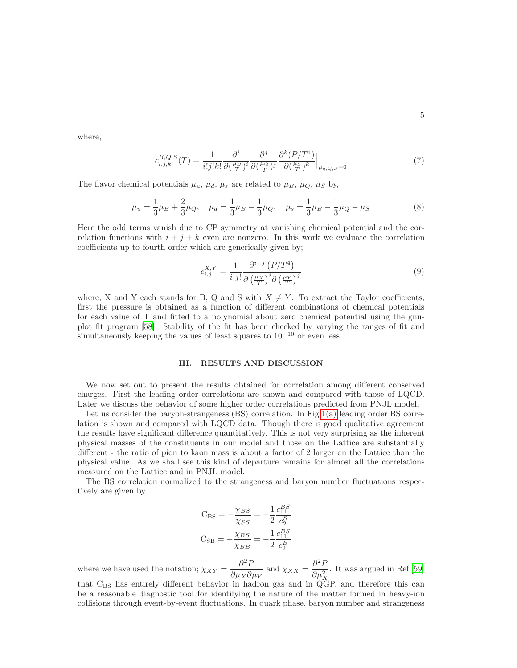where,

$$
c_{i,j,k}^{B,Q,S}(T) = \frac{1}{i!j!k!} \frac{\partial^i}{\partial \left(\frac{\mu_B}{T}\right)^i} \frac{\partial^j}{\partial \left(\frac{\mu_Q}{T}\right)^j} \frac{\partial^k (P/T^4)}{\partial \left(\frac{\mu_S}{T}\right)^k} \Big|_{\mu_{q,Q,S}=0} \tag{7}
$$

The flavor chemical potentials  $\mu_u$ ,  $\mu_d$ ,  $\mu_s$  are related to  $\mu_B$ ,  $\mu_Q$ ,  $\mu_S$  by,

$$
\mu_u = \frac{1}{3}\mu_B + \frac{2}{3}\mu_Q, \quad \mu_d = \frac{1}{3}\mu_B - \frac{1}{3}\mu_Q, \quad \mu_s = \frac{1}{3}\mu_B - \frac{1}{3}\mu_Q - \mu_S \tag{8}
$$

Here the odd terms vanish due to CP symmetry at vanishing chemical potential and the correlation functions with  $i + j + k$  even are nonzero. In this work we evaluate the correlation coefficients up to fourth order which are generically given by;

$$
c_{i,j}^{X,Y} = \frac{1}{i!j!} \frac{\partial^{i+j} (P/T^4)}{\partial \left(\frac{\mu_X}{T}\right)^i \partial \left(\frac{\mu_Y}{T}\right)^j}
$$
(9)

where, X and Y each stands for B, Q and S with  $X \neq Y$ . To extract the Taylor coefficients, first the pressure is obtained as a function of different combinations of chemical potentials for each value of T and fitted to a polynomial about zero chemical potential using the gnuplot fit program [\[58\]](#page-12-25). Stability of the fit has been checked by varying the ranges of fit and simultaneously keeping the values of least squares to  $10^{-10}$  or even less.

# <span id="page-4-0"></span>III. RESULTS AND DISCUSSION

We now set out to present the results obtained for correlation among different conserved charges. First the leading order correlations are shown and compared with those of LQCD. Later we discuss the behavior of some higher order correlations predicted from PNJL model.

Let us consider the baryon-strangeness (BS) correlation. In Fig[.1\(a\)](#page-5-0) leading order BS correlation is shown and compared with LQCD data. Though there is good qualitative agreement the results have significant difference quantitatively. This is not very surprising as the inherent physical masses of the constituents in our model and those on the Lattice are substantially different - the ratio of pion to kaon mass is about a factor of 2 larger on the Lattice than the physical value. As we shall see this kind of departure remains for almost all the correlations measured on the Lattice and in PNJL model.

The BS correlation normalized to the strangeness and baryon number fluctuations respectively are given by

$$
C_{BS} = -\frac{\chi_{BS}}{\chi_{SS}} = -\frac{1}{2} \frac{c_{11}^{BS}}{c_2^S}
$$

$$
C_{SB} = -\frac{\chi_{BS}}{\chi_{BB}} = -\frac{1}{2} \frac{c_{11}^{BS}}{c_2^B}
$$

where we have used the notation;  $\chi_{XY} = \frac{\partial^2 F}{\partial x \cdot \partial y}$  $\frac{\partial^2 P}{\partial \mu_X \partial \mu_Y}$  and  $\chi_{XX} = \frac{\partial^2 P}{\partial \mu_X^2}$  $\partial \mu_X^2$ . It was argued in Ref.[\[59](#page-12-26)] that C<sub>BS</sub> has entirely different behavior in hadron gas and in QGP, and therefore this can be a reasonable diagnostic tool for identifying the nature of the matter formed in heavy-ion collisions through event-by-event fluctuations. In quark phase, baryon number and strangeness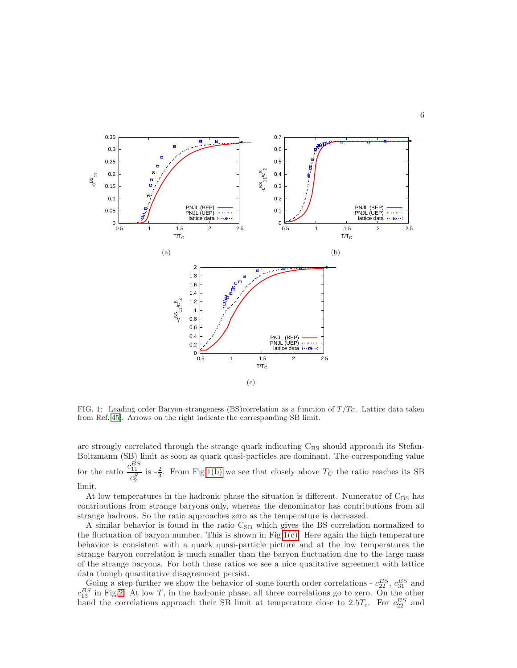<span id="page-5-1"></span>

<span id="page-5-0"></span>

<span id="page-5-2"></span>FIG. 1: Leading order Baryon-strangeness (BS)correlation as a function of  $T/T_C$ . Lattice data taken from Ref.[\[45](#page-12-27)]. Arrows on the right indicate the corresponding SB limit.

are strongly correlated through the strange quark indicating  $C_{BS}$  should approach its Stefan-Boltzmann (SB) limit as soon as quark quasi-particles are dominant. The corresponding value for the ratio  $\frac{c_{11}^{BS}}{s}$  $c_2^S$ is  $-\frac{2}{3}$ . From Fig[.1\(b\)](#page-5-1) we see that closely above  $T_C$  the ratio reaches its SB limit.

At low temperatures in the hadronic phase the situation is different. Numerator of  $C_{BS}$  has contributions from strange baryons only, whereas the denominator has contributions from all strange hadrons. So the ratio approaches zero as the temperature is decreased.

A similar behavior is found in the ratio C<sub>SB</sub> which gives the BS correlation normalized to the fluctuation of baryon number. This is shown in Fig[.1\(c\).](#page-5-2) Here again the high temperature behavior is consistent with a quark quasi-particle picture and at the low temperatures the strange baryon correlation is much smaller than the baryon fluctuation due to the large mass of the strange baryons. For both these ratios we see a nice qualitative agreement with lattice data though quantitative disagreement persist.

Going a step further we show the behavior of some fourth order correlations -  $c_{22}^{BS}$ ,  $c_{31}^{BS}$  and  $c_{13}^{BS}$  in Fig[.2.](#page-6-0) At low T, in the hadronic phase, all three correlations go to zero. On the other hand the correlations approach their SB limit at temperature close to  $2.5T_c$ . For  $c_{22}^{BS}$  and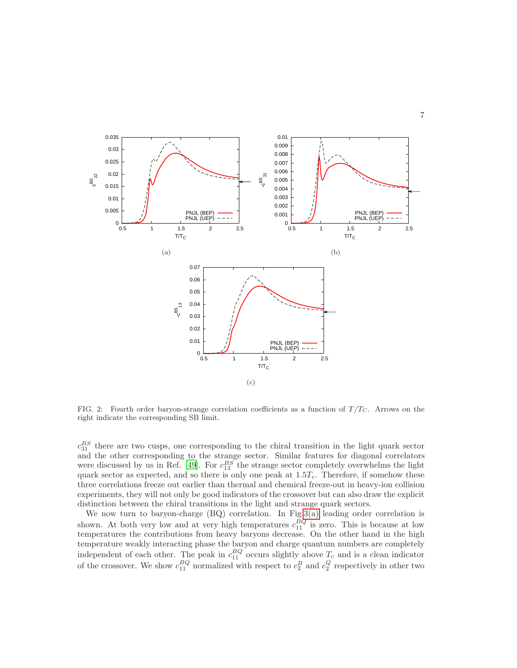

<span id="page-6-0"></span>FIG. 2: Fourth order baryon-strange correlation coefficients as a function of  $T/T_C$ . Arrows on the right indicate the corresponding SB limit.

 $c_{31}^{BS}$  there are two cusps, one corresponding to the chiral transition in the light quark sector and the other corresponding to the strange sector. Similar features for diagonal correlators were discussed by us in Ref. [\[49](#page-12-14)]. For  $c_{13}^{BS}$  the strange sector completely overwhelms the light quark sector as expected, and so there is only one peak at  $1.5T_c$ . Therefore, if somehow these three correlations freeze out earlier than thermal and chemical freeze-out in heavy-ion collision experiments, they will not only be good indicators of the crossover but can also draw the explicit distinction between the chiral transitions in the light and strange quark sectors.

We now turn to baryon-charge (BQ) correlation. In Fig[.3\(a\)](#page-7-0) leading order correlation is shown. At both very low and at very high temperatures  $c_{11}^{BQ}$  is zero. This is because at low temperatures the contributions from heavy baryons decrease. On the other hand in the high temperature weakly interacting phase the baryon and charge quantum numbers are completely independent of each other. The peak in  $c_{11}^{BQ}$  occurs slightly above  $T_c$  and is a clean indicator of the crossover. We show  $c_{11}^{BQ}$  normalized with respect to  $c_2^B$  and  $c_2^Q$  respectively in other two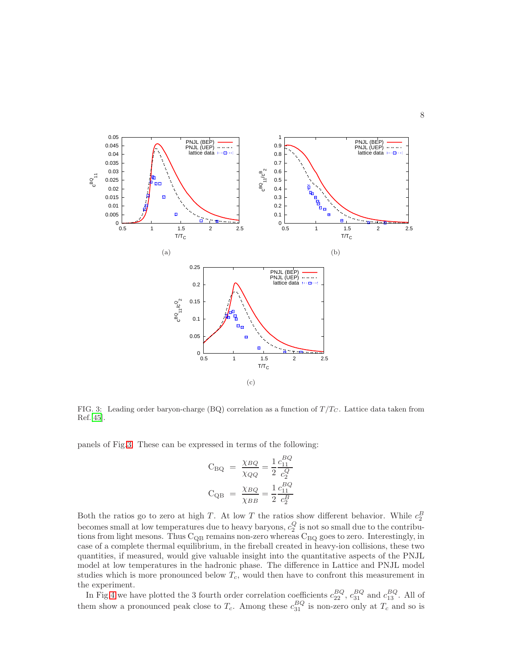<span id="page-7-0"></span>

<span id="page-7-1"></span>FIG. 3: Leading order baryon-charge (BQ) correlation as a function of  $T/T_C$ . Lattice data taken from Ref.[\[45\]](#page-12-27).

panels of Fig[.3.](#page-7-1) These can be expressed in terms of the following:

$$
C_{BQ} = \frac{\chi_{BQ}}{\chi_{QQ}} = \frac{1}{2} \frac{c_{11}^{BQ}}{c_2^Q}
$$

$$
C_{QB} = \frac{\chi_{BQ}}{\chi_{BB}} = \frac{1}{2} \frac{c_{11}^{BQ}}{c_2^B}
$$

Both the ratios go to zero at high T. At low T the ratios show different behavior. While  $c_2^B$ becomes small at low temperatures due to heavy baryons,  $c_2^Q$  is not so small due to the contributions from light mesons. Thus  $C_{QB}$  remains non-zero whereas  $C_{BQ}$  goes to zero. Interestingly, in case of a complete thermal equilibrium, in the fireball created in heavy-ion collisions, these two quantities, if measured, would give valuable insight into the quantitative aspects of the PNJL model at low temperatures in the hadronic phase. The difference in Lattice and PNJL model studies which is more pronounced below  $T_c$ , would then have to confront this measurement in the experiment.

In Fig[.4](#page-8-0) we have plotted the 3 fourth order correlation coefficients  $c_{22}^{BQ}$ ,  $c_{31}^{BQ}$  and  $c_{13}^{BQ}$ . All of them show a pronounced peak close to  $T_c$ . Among these  $c_{31}^{BQ}$  is non-zero only at  $T_c$  and so is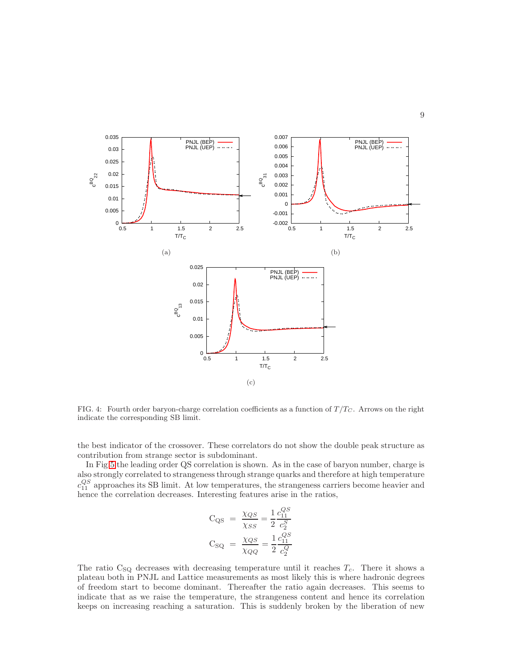

<span id="page-8-0"></span>FIG. 4: Fourth order baryon-charge correlation coefficients as a function of  $T/T_C$ . Arrows on the right indicate the corresponding SB limit.

the best indicator of the crossover. These correlators do not show the double peak structure as contribution from strange sector is subdominant.

In Fig[.5](#page-9-0) the leading order QS correlation is shown. As in the case of baryon number, charge is also strongly correlated to strangeness through strange quarks and therefore at high temperature  $c_{11}^{QS}$  approaches its SB limit. At low temperatures, the strangeness carriers become heavier and hence the correlation decreases. Interesting features arise in the ratios,

$$
C_{QS} = \frac{\chi_{QS}}{\chi_{SS}} = \frac{1}{2} \frac{c_{11}^{QS}}{c_2^S}
$$

$$
C_{SQ} = \frac{\chi_{QS}}{\chi_{QQ}} = \frac{1}{2} \frac{c_{11}^{QS}}{c_2^Q}
$$

The ratio  $C_{SQ}$  decreases with decreasing temperature until it reaches  $T_c$ . There it shows a plateau both in PNJL and Lattice measurements as most likely this is where hadronic degrees of freedom start to become dominant. Thereafter the ratio again decreases. This seems to indicate that as we raise the temperature, the strangeness content and hence its correlation keeps on increasing reaching a saturation. This is suddenly broken by the liberation of new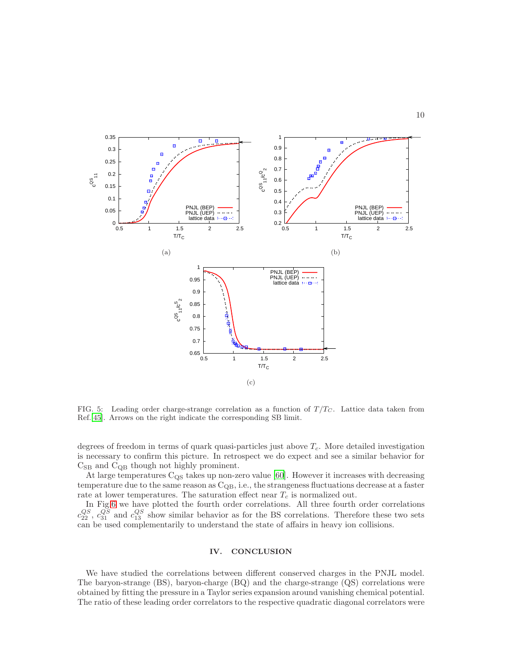

<span id="page-9-0"></span>FIG. 5: Leading order charge-strange correlation as a function of  $T/T_C$ . Lattice data taken from Ref.[\[45\]](#page-12-27). Arrows on the right indicate the corresponding SB limit.

degrees of freedom in terms of quark quasi-particles just above  $T_c$ . More detailed investigation is necessary to confirm this picture. In retrospect we do expect and see a similar behavior for  $C_{SB}$  and  $C_{QB}$  though not highly prominent.

At large temperatures  $C_{QS}$  takes up non-zero value [\[60](#page-12-28)]. However it increases with decreasing temperature due to the same reason as  $C_{\text{QB}}$ , i.e., the strangeness fluctuations decrease at a faster rate at lower temperatures. The saturation effect near  $T_c$  is normalized out.

In Fig[.6](#page-10-0) we have plotted the fourth order correlations. All three fourth order correlations  $c_{22}^{QS}$ ,  $c_{31}^{QS}$  and  $c_{13}^{QS}$  show similar behavior as for the BS correlations. Therefore these two sets can be used complementarily to understand the state of affairs in heavy ion collisions.

### IV. CONCLUSION

We have studied the correlations between different conserved charges in the PNJL model. The baryon-strange (BS), baryon-charge (BQ) and the charge-strange (QS) correlations were obtained by fitting the pressure in a Taylor series expansion around vanishing chemical potential. The ratio of these leading order correlators to the respective quadratic diagonal correlators were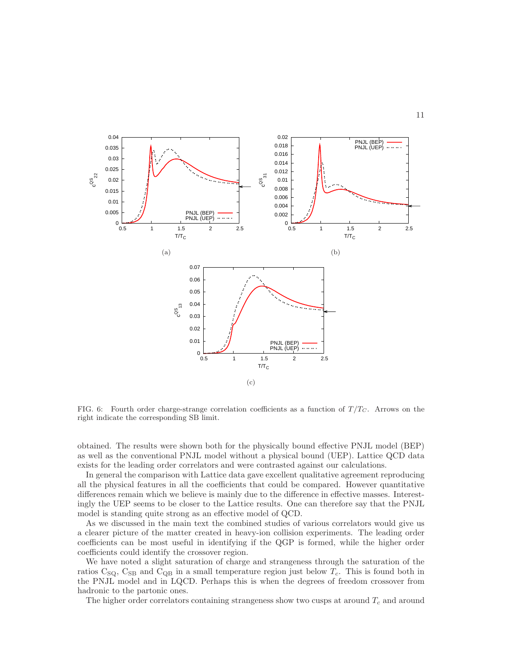

<span id="page-10-0"></span>FIG. 6: Fourth order charge-strange correlation coefficients as a function of  $T/T_C$ . Arrows on the right indicate the corresponding SB limit.

obtained. The results were shown both for the physically bound effective PNJL model (BEP) as well as the conventional PNJL model without a physical bound (UEP). Lattice QCD data exists for the leading order correlators and were contrasted against our calculations.

In general the comparison with Lattice data gave excellent qualitative agreement reproducing all the physical features in all the coefficients that could be compared. However quantitative differences remain which we believe is mainly due to the difference in effective masses. Interestingly the UEP seems to be closer to the Lattice results. One can therefore say that the PNJL model is standing quite strong as an effective model of QCD.

As we discussed in the main text the combined studies of various correlators would give us a clearer picture of the matter created in heavy-ion collision experiments. The leading order coefficients can be most useful in identifying if the QGP is formed, while the higher order coefficients could identify the crossover region.

We have noted a slight saturation of charge and strangeness through the saturation of the ratios  $C_{SQ}$ ,  $C_{SB}$  and  $C_{QB}$  in a small temperature region just below  $T_c$ . This is found both in the PNJL model and in LQCD. Perhaps this is when the degrees of freedom crossover from hadronic to the partonic ones.

The higher order correlators containing strangeness show two cusps at around  $T_c$  and around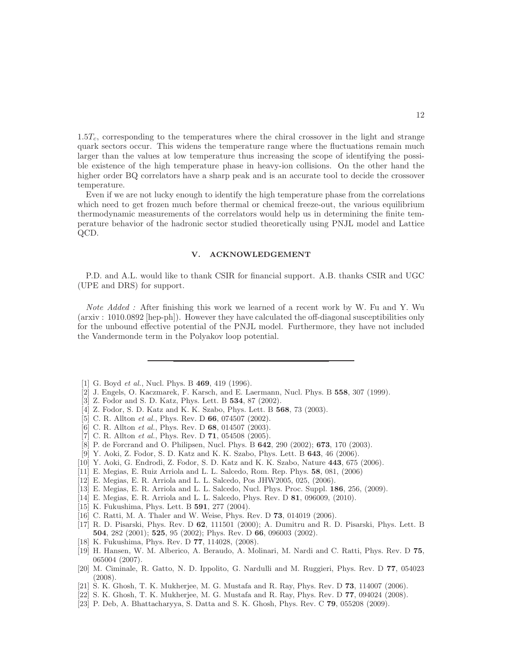$1.5T_c$ , corresponding to the temperatures where the chiral crossover in the light and strange quark sectors occur. This widens the temperature range where the fluctuations remain much larger than the values at low temperature thus increasing the scope of identifying the possible existence of the high temperature phase in heavy-ion collisions. On the other hand the higher order BQ correlators have a sharp peak and is an accurate tool to decide the crossover temperature.

Even if we are not lucky enough to identify the high temperature phase from the correlations which need to get frozen much before thermal or chemical freeze-out, the various equilibrium thermodynamic measurements of the correlators would help us in determining the finite temperature behavior of the hadronic sector studied theoretically using PNJL model and Lattice QCD.

### V. ACKNOWLEDGEMENT

P.D. and A.L. would like to thank CSIR for financial support. A.B. thanks CSIR and UGC (UPE and DRS) for support.

Note Added: After finishing this work we learned of a recent work by W. Fu and Y. Wu (arxiv : 1010.0892 [hep-ph]). However they have calculated the off-diagonal susceptibilities only for the unbound effective potential of the PNJL model. Furthermore, they have not included the Vandermonde term in the Polyakov loop potential.

- <span id="page-11-0"></span>[1] G. Boyd *et al.*, Nucl. Phys. B **469**, 419 (1996).
- [2] J. Engels, O. Kaczmarek, F. Karsch, and E. Laermann, Nucl. Phys. B 558, 307 (1999).
- [3] Z. Fodor and S. D. Katz, Phys. Lett. B **534**, 87 (2002).
- [4] Z. Fodor, S. D. Katz and K. K. Szabo, Phys. Lett. B 568, 73 (2003).
- [5] C. R. Allton *et al.*, Phys. Rev. D 66, 074507 (2002).
- [6] C. R. Allton et al., Phys. Rev. D 68, 014507 (2003).
- <span id="page-11-3"></span>[7] C. R. Allton *et al.*, Phys. Rev. D **71**, 054508 (2005).
- [8] P. de Forcrand and O. Philipsen, Nucl. Phys. B 642, 290 (2002); 673, 170 (2003).
- [9] Y. Aoki, Z. Fodor, S. D. Katz and K. K. Szabo, Phys. Lett. B 643, 46 (2006).
- [10] Y. Aoki, G. Endrodi, Z. Fodor, S. D. Katz and K. K. Szabo, Nature 443, 675 (2006).
- [11] E. Megias, E. Ruiz Arriola and L. L. Salcedo, Rom. Rep. Phys. 58, 081, (2006)
- [12] E. Megias, E. R. Arriola and L. L. Salcedo, Pos JHW2005, 025, (2006).
- [13] E. Megias, E. R. Arriola and L. L. Salcedo, Nucl. Phys. Proc. Suppl. 186, 256, (2009).
- <span id="page-11-1"></span>[14] E. Megias, E. R. Arriola and L. L. Salcedo, Phys. Rev. D 81, 096009, (2010).
- <span id="page-11-2"></span>[15] K. Fukushima, Phys. Lett. B **591**, 277 (2004).
- <span id="page-11-6"></span>[16] C. Ratti, M. A. Thaler and W. Weise, Phys. Rev. D **73**, 014019 (2006).
- [17] R. D. Pisarski, Phys. Rev. D 62, 111501 (2000); A. Dumitru and R. D. Pisarski, Phys. Lett. B 504, 282 (2001); 525, 95 (2002); Phys. Rev. D 66, 096003 (2002).
- <span id="page-11-5"></span>[18] K. Fukushima, Phys. Rev. D 77, 114028, (2008).
- [19] H. Hansen, W. M. Alberico, A. Beraudo, A. Molinari, M. Nardi and C. Ratti, Phys. Rev. D 75, 065004 (2007).
- <span id="page-11-7"></span>[20] M. Ciminale, R. Gatto, N. D. Ippolito, G. Nardulli and M. Ruggieri, Phys. Rev. D 77, 054023 (2008).
- <span id="page-11-4"></span>[21] S. K. Ghosh, T. K. Mukherjee, M. G. Mustafa and R. Ray, Phys. Rev. D 73, 114007 (2006).
- <span id="page-11-9"></span>[22] S. K. Ghosh, T. K. Mukherjee, M. G. Mustafa and R. Ray, Phys. Rev. D 77, 094024 (2008).
- <span id="page-11-8"></span>[23] P. Deb, A. Bhattacharyya, S. Datta and S. K. Ghosh, Phys. Rev. C 79, 055208 (2009).